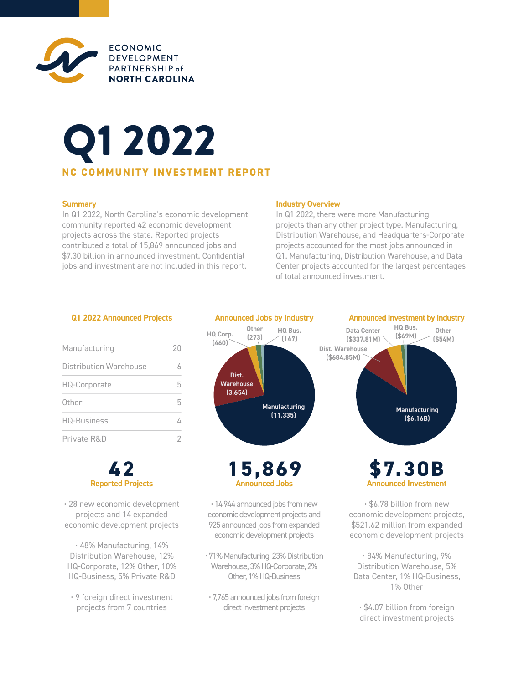

# Q1 2022 **COMMUNITY INVESTMENT REPORT**

# **Summary**

In Q1 2022, North Carolina's economic development community reported 42 economic development projects across the state. Reported projects contributed a total of 15,869 announced jobs and \$7.30 billion in announced investment. Confidential jobs and investment are not included in this report.

# **Industry Overview**

In Q1 2022, there were more Manufacturing projects than any other project type. Manufacturing, Distribution Warehouse, and Headquarters-Corporate projects accounted for the most jobs announced in Q1. Manufacturing, Distribution Warehouse, and Data Center projects accounted for the largest percentages of total announced investment.

| Manufacturing          | 20 |  |
|------------------------|----|--|
| Distribution Warehouse |    |  |
| HQ-Corporate           | 5  |  |
| Other                  | 5  |  |
| <b>HQ-Business</b>     |    |  |
| Private R&D            |    |  |

• 28 new economic development projects and 14 expanded economic development projects

• 48% Manufacturing, 14% Distribution Warehouse, 12% HQ-Corporate, 12% Other, 10% HQ-Business, 5% Private R&D

• 9 foreign direct investment projects from 7 countries



• 14,944 announced jobs from new **Reported Projects Announced Jobs Announced Investment**

economic development projects and 925 announced jobs from expanded economic development projects

• 71% Manufacturing, 23% Distribution Warehouse, 3% HQ-Corporate, 2% Other, 1% HQ-Business

• 7,765 announced jobs from foreign direct investment projects

• \$6.78 billion from new economic development projects, \$521.62 million from expanded economic development projects

• 84% Manufacturing, 9% Distribution Warehouse, 5% Data Center, 1% HQ-Business, 1% Other

• \$4.07 billion from foreign direct investment projects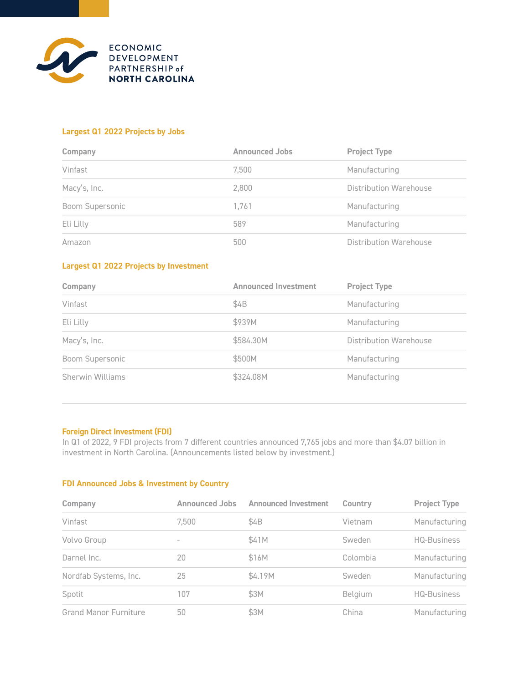

# **Largest Q1 2022 Projects by Jobs**

| Company         | <b>Announced Jobs</b> | <b>Project Type</b>    |  |
|-----------------|-----------------------|------------------------|--|
| Vinfast         | 7,500                 | Manufacturing          |  |
| Macy's, Inc.    | 2,800                 | Distribution Warehouse |  |
| Boom Supersonic | 1,761                 | Manufacturing          |  |
| Eli Lilly       | 589                   | Manufacturing          |  |
| Amazon          | 500                   | Distribution Warehouse |  |

# **Largest Q1 2022 Projects by Investment**

| Company          | <b>Announced Investment</b> | <b>Project Type</b>    |
|------------------|-----------------------------|------------------------|
| Vinfast          | \$4B                        | Manufacturing          |
| Eli Lilly        | \$939M                      | Manufacturing          |
| Macy's, Inc.     | \$584.30M                   | Distribution Warehouse |
| Boom Supersonic  | \$500M                      | Manufacturing          |
| Sherwin Williams | \$324.08M                   | Manufacturing          |

# **Foreign Direct Investment (FDI)**

In Q1 of 2022, 9 FDI projects from 7 different countries announced 7,765 jobs and more than \$4.07 billion in investment in North Carolina. (Announcements listed below by investment.)

# **FDI Announced Jobs & Investment by Country**

| Company                      | <b>Announced Jobs</b> | <b>Announced Investment</b> | Country  | <b>Project Type</b> |
|------------------------------|-----------------------|-----------------------------|----------|---------------------|
| Vinfast                      | 7.500                 | \$4B                        | Vietnam  | Manufacturing       |
| Volvo Group                  |                       | \$41M                       | Sweden   | <b>HQ-Business</b>  |
| Darnel Inc.                  | 20                    | \$16M                       | Colombia | Manufacturing       |
| Nordfab Systems, Inc.        | 25                    | \$4.19M                     | Sweden   | Manufacturing       |
| Spotit                       | 107                   | \$3M                        | Belgium  | <b>HQ-Business</b>  |
| <b>Grand Manor Furniture</b> | 50                    | \$3M                        | China    | Manufacturing       |